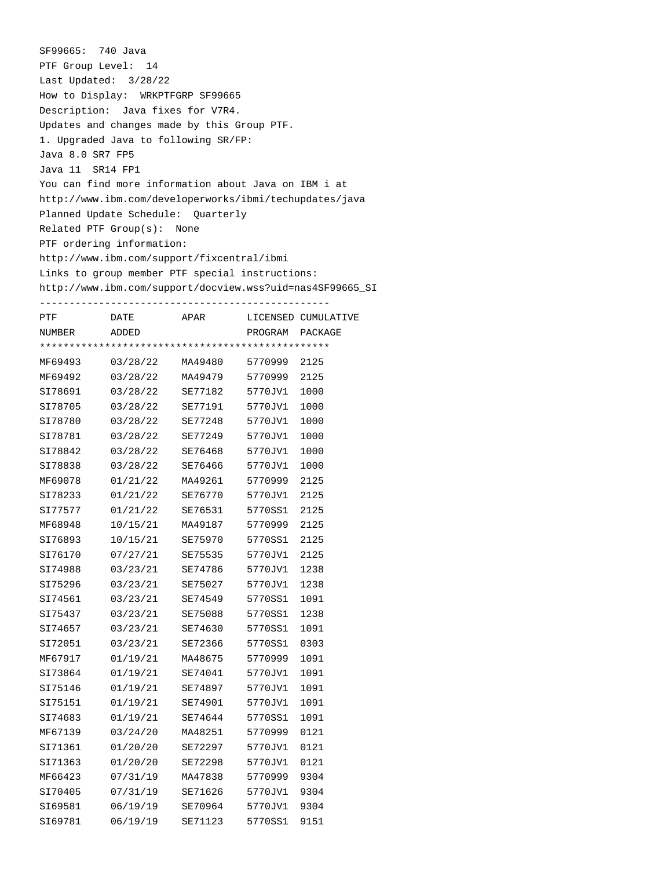| SF99665:<br>740 Java                                    |                                                 |                                  |                 |                                                           |  |  |  |  |
|---------------------------------------------------------|-------------------------------------------------|----------------------------------|-----------------|-----------------------------------------------------------|--|--|--|--|
| PTF Group Level: 14                                     |                                                 |                                  |                 |                                                           |  |  |  |  |
| Last Updated: 3/28/22                                   |                                                 |                                  |                 |                                                           |  |  |  |  |
| How to Display: WRKPTFGRP SF99665                       |                                                 |                                  |                 |                                                           |  |  |  |  |
|                                                         | Description: Java fixes for V7R4.               |                                  |                 |                                                           |  |  |  |  |
| Updates and changes made by this Group PTF.             |                                                 |                                  |                 |                                                           |  |  |  |  |
|                                                         | 1. Upgraded Java to following SR/FP:            |                                  |                 |                                                           |  |  |  |  |
| Java 8.0 SR7 FP5                                        |                                                 |                                  |                 |                                                           |  |  |  |  |
|                                                         | Java 11 SR14 FP1                                |                                  |                 |                                                           |  |  |  |  |
| You can find more information about Java on IBM i at    |                                                 |                                  |                 |                                                           |  |  |  |  |
|                                                         |                                                 |                                  |                 |                                                           |  |  |  |  |
| http://www.ibm.com/developerworks/ibmi/techupdates/java |                                                 |                                  |                 |                                                           |  |  |  |  |
| Planned Update Schedule: Quarterly                      |                                                 |                                  |                 |                                                           |  |  |  |  |
| Related PTF Group(s): None                              |                                                 |                                  |                 |                                                           |  |  |  |  |
|                                                         | PTF ordering information:                       |                                  |                 |                                                           |  |  |  |  |
|                                                         | http://www.ibm.com/support/fixcentral/ibmi      |                                  |                 |                                                           |  |  |  |  |
|                                                         | Links to group member PTF special instructions: |                                  |                 |                                                           |  |  |  |  |
|                                                         |                                                 |                                  |                 | http://www.ibm.com/support/docview.wss?uid=nas4SF99665_SI |  |  |  |  |
|                                                         |                                                 | -------------------------------- |                 |                                                           |  |  |  |  |
| <b>PTF</b>                                              | DATE APAR LICENSED CUMULATIVE                   |                                  |                 |                                                           |  |  |  |  |
| NUMBER                                                  | ADDED                                           |                                  | PROGRAM PACKAGE |                                                           |  |  |  |  |
|                                                         |                                                 |                                  |                 |                                                           |  |  |  |  |
|                                                         | MF69493 03/28/22 MA49480 5770999 2125           |                                  |                 |                                                           |  |  |  |  |
|                                                         | MF69492 03/28/22 MA49479 5770999 2125           |                                  |                 |                                                           |  |  |  |  |
| SI78691                                                 | 03/28/22 SE77182 5770JV1 1000                   |                                  |                 |                                                           |  |  |  |  |
| SI78705                                                 | 03/28/22 SE77191 5770JV1                        |                                  |                 | 1000                                                      |  |  |  |  |
| SI78780                                                 | 03/28/22                                        | SE77248                          | 5770JV1         | 1000                                                      |  |  |  |  |
| SI78781                                                 | 03/28/22 SE77249 5770JV1                        |                                  |                 | 1000                                                      |  |  |  |  |
| SI78842                                                 | 03/28/22 SE76468 5770JV1                        |                                  |                 | 1000                                                      |  |  |  |  |
| SI78838                                                 | 03/28/22 SE76466                                |                                  | 5770JV1         | 1000                                                      |  |  |  |  |
| MF69078                                                 | 01/21/22                                        | MA49261                          | 5770999 2125    |                                                           |  |  |  |  |
| SI78233                                                 | 01/21/22 SE76770                                |                                  | 5770JV1 2125    |                                                           |  |  |  |  |
| SI77577                                                 | 01/21/22 SE76531 5770SS1 2125                   |                                  |                 |                                                           |  |  |  |  |
| MF68948                                                 | 10/15/21 MA49187 5770999                        |                                  |                 | 2125                                                      |  |  |  |  |
| SI76893                                                 | 10/15/21                                        | SE75970                          | 5770SS1         | 2125                                                      |  |  |  |  |
| SI76170                                                 | 07/27/21                                        | SE75535                          | 5770JV1         | 2125                                                      |  |  |  |  |
| SI74988                                                 | 03/23/21                                        | SE74786                          | 5770JV1         | 1238                                                      |  |  |  |  |
| SI75296                                                 | 03/23/21                                        |                                  |                 |                                                           |  |  |  |  |
|                                                         |                                                 | SE75027                          | 5770JV1         | 1238                                                      |  |  |  |  |
| SI74561                                                 | 03/23/21                                        | SE74549                          | 5770SS1         | 1091                                                      |  |  |  |  |
| SI75437                                                 | 03/23/21                                        | SE75088                          | 5770SS1         | 1238                                                      |  |  |  |  |
| SI74657                                                 | 03/23/21                                        | SE74630                          | 5770SS1         | 1091                                                      |  |  |  |  |
| SI72051                                                 | 03/23/21                                        | SE72366                          | 5770SS1         | 0303                                                      |  |  |  |  |
| MF67917                                                 | 01/19/21                                        | MA48675                          | 5770999         | 1091                                                      |  |  |  |  |
| SI73864                                                 | 01/19/21                                        | SE74041                          | 5770JV1         | 1091                                                      |  |  |  |  |
| SI75146                                                 | 01/19/21                                        | SE74897                          | 5770JV1         | 1091                                                      |  |  |  |  |
| SI75151                                                 | 01/19/21                                        | SE74901                          | 5770JV1         | 1091                                                      |  |  |  |  |
| SI74683                                                 | 01/19/21                                        | SE74644                          | 5770SS1         | 1091                                                      |  |  |  |  |
| MF67139                                                 | 03/24/20                                        | MA48251                          | 5770999         | 0121                                                      |  |  |  |  |
| SI71361                                                 | 01/20/20                                        | SE72297                          | 5770JV1         | 0121                                                      |  |  |  |  |
| SI71363                                                 | 01/20/20                                        | SE72298                          | 5770JV1         | 0121                                                      |  |  |  |  |
| MF66423                                                 | 07/31/19                                        | MA47838                          | 5770999         | 9304                                                      |  |  |  |  |
| SI70405                                                 | 07/31/19                                        | SE71626                          | 5770JV1         | 9304                                                      |  |  |  |  |
| SI69581                                                 | 06/19/19                                        | SE70964                          | 5770JV1         | 9304                                                      |  |  |  |  |
| SI69781                                                 | 06/19/19                                        | SE71123                          | 5770SS1         | 9151                                                      |  |  |  |  |